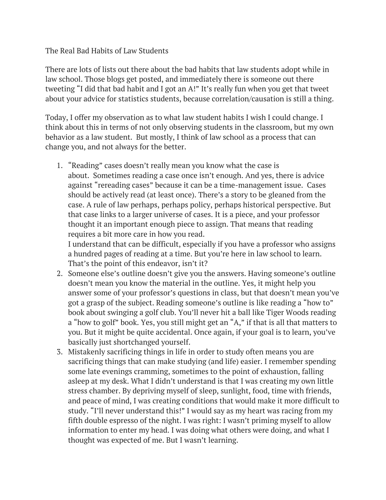## The Real Bad Habits of Law Students

There are lots of lists out there about the bad habits that law students adopt while in law school. Those blogs get posted, and immediately there is someone out there tweeting "I did that bad habit and I got an A!" It's really fun when you get that tweet about your advice for statistics students, because correlation/causation is still a thing.

Today, I offer my observation as to what law student habits I wish I could change. I think about this in terms of not only observing students in the classroom, but my own behavior as a law student. But mostly, I think of law school as a process that can change you, and not always for the better.

1. "Reading" cases doesn't really mean you know what the case is about. Sometimes reading a case once isn't enough. And yes, there is advice against "rereading cases" because it can be a time-management issue. Cases should be actively read (at least once). There's a story to be gleaned from the case. A rule of law perhaps, perhaps policy, perhaps historical perspective. But that case links to a larger universe of cases. It is a piece, and your professor thought it an important enough piece to assign. That means that reading requires a bit more care in how you read.

I understand that can be difficult, especially if you have a professor who assigns a hundred pages of reading at a time. But you're here in law school to learn. That's the point of this endeavor, isn't it?

- 2. Someone else's outline doesn't give you the answers. Having someone's outline doesn't mean you know the material in the outline. Yes, it might help you answer some of your professor's questions in class, but that doesn't mean you've got a grasp of the subject. Reading someone's outline is like reading a "how to" book about swinging a golf club. You'll never hit a ball like Tiger Woods reading a "how to golf" book. Yes, you still might get an "A," if that is all that matters to you. But it might be quite accidental. Once again, if your goal is to learn, you've basically just shortchanged yourself.
- 3. Mistakenly sacrificing things in life in order to study often means you are sacrificing things that can make studying (and life) easier. I remember spending some late evenings cramming, sometimes to the point of exhaustion, falling asleep at my desk. What I didn't understand is that I was creating my own little stress chamber. By depriving myself of sleep, sunlight, food, time with friends, and peace of mind, I was creating conditions that would make it more difficult to study. "I'll never understand this!" I would say as my heart was racing from my fifth double espresso of the night. I was right: I wasn't priming myself to allow information to enter my head. I was doing what others were doing, and what I thought was expected of me. But I wasn't learning.